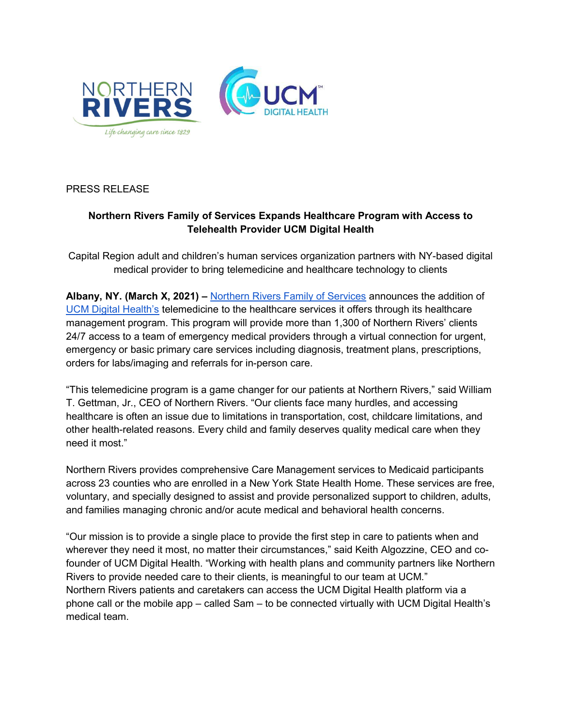

PRESS RELEASE

# Northern Rivers Family of Services Expands Healthcare Program with Access to Telehealth Provider UCM Digital Health

Capital Region adult and children's human services organization partners with NY-based digital medical provider to bring telemedicine and healthcare technology to clients

Albany, NY. (March X, 2021) – Northern Rivers Family of Services announces the addition of UCM Digital Health's telemedicine to the healthcare services it offers through its healthcare management program. This program will provide more than 1,300 of Northern Rivers' clients 24/7 access to a team of emergency medical providers through a virtual connection for urgent, emergency or basic primary care services including diagnosis, treatment plans, prescriptions, orders for labs/imaging and referrals for in-person care.

"This telemedicine program is a game changer for our patients at Northern Rivers," said William T. Gettman, Jr., CEO of Northern Rivers. "Our clients face many hurdles, and accessing healthcare is often an issue due to limitations in transportation, cost, childcare limitations, and other health-related reasons. Every child and family deserves quality medical care when they need it most."

Northern Rivers provides comprehensive Care Management services to Medicaid participants across 23 counties who are enrolled in a New York State Health Home. These services are free, voluntary, and specially designed to assist and provide personalized support to children, adults, and families managing chronic and/or acute medical and behavioral health concerns.

"Our mission is to provide a single place to provide the first step in care to patients when and wherever they need it most, no matter their circumstances," said Keith Algozzine, CEO and cofounder of UCM Digital Health. "Working with health plans and community partners like Northern Rivers to provide needed care to their clients, is meaningful to our team at UCM." Northern Rivers patients and caretakers can access the UCM Digital Health platform via a phone call or the mobile app – called Sam – to be connected virtually with UCM Digital Health's medical team.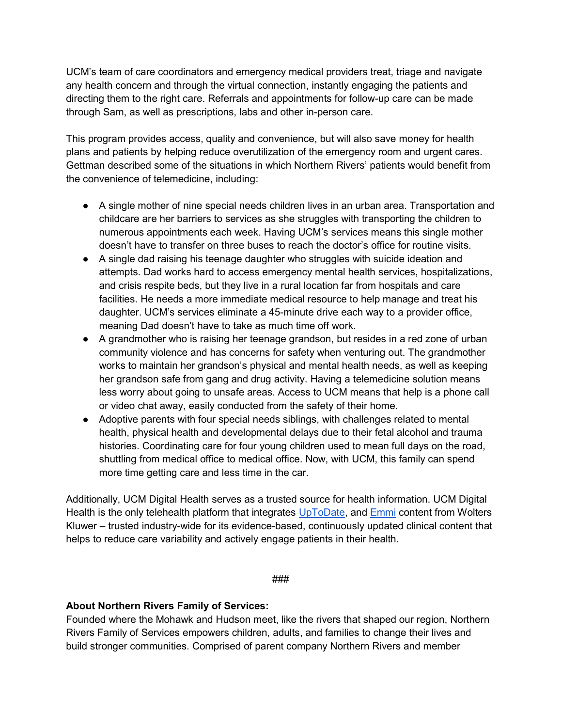UCM's team of care coordinators and emergency medical providers treat, triage and navigate any health concern and through the virtual connection, instantly engaging the patients and directing them to the right care. Referrals and appointments for follow-up care can be made through Sam, as well as prescriptions, labs and other in-person care.

This program provides access, quality and convenience, but will also save money for health plans and patients by helping reduce overutilization of the emergency room and urgent cares. Gettman described some of the situations in which Northern Rivers' patients would benefit from the convenience of telemedicine, including:

- A single mother of nine special needs children lives in an urban area. Transportation and childcare are her barriers to services as she struggles with transporting the children to numerous appointments each week. Having UCM's services means this single mother doesn't have to transfer on three buses to reach the doctor's office for routine visits.
- A single dad raising his teenage daughter who struggles with suicide ideation and attempts. Dad works hard to access emergency mental health services, hospitalizations, and crisis respite beds, but they live in a rural location far from hospitals and care facilities. He needs a more immediate medical resource to help manage and treat his daughter. UCM's services eliminate a 45-minute drive each way to a provider office, meaning Dad doesn't have to take as much time off work.
- A grandmother who is raising her teenage grandson, but resides in a red zone of urban community violence and has concerns for safety when venturing out. The grandmother works to maintain her grandson's physical and mental health needs, as well as keeping her grandson safe from gang and drug activity. Having a telemedicine solution means less worry about going to unsafe areas. Access to UCM means that help is a phone call or video chat away, easily conducted from the safety of their home.
- Adoptive parents with four special needs siblings, with challenges related to mental health, physical health and developmental delays due to their fetal alcohol and trauma histories. Coordinating care for four young children used to mean full days on the road, shuttling from medical office to medical office. Now, with UCM, this family can spend more time getting care and less time in the car.

Additionally, UCM Digital Health serves as a trusted source for health information. UCM Digital Health is the only telehealth platform that integrates UpToDate, and Emmi content from Wolters Kluwer – trusted industry-wide for its evidence-based, continuously updated clinical content that helps to reduce care variability and actively engage patients in their health.

#### ###

### About Northern Rivers Family of Services:

Founded where the Mohawk and Hudson meet, like the rivers that shaped our region, Northern Rivers Family of Services empowers children, adults, and families to change their lives and build stronger communities. Comprised of parent company Northern Rivers and member